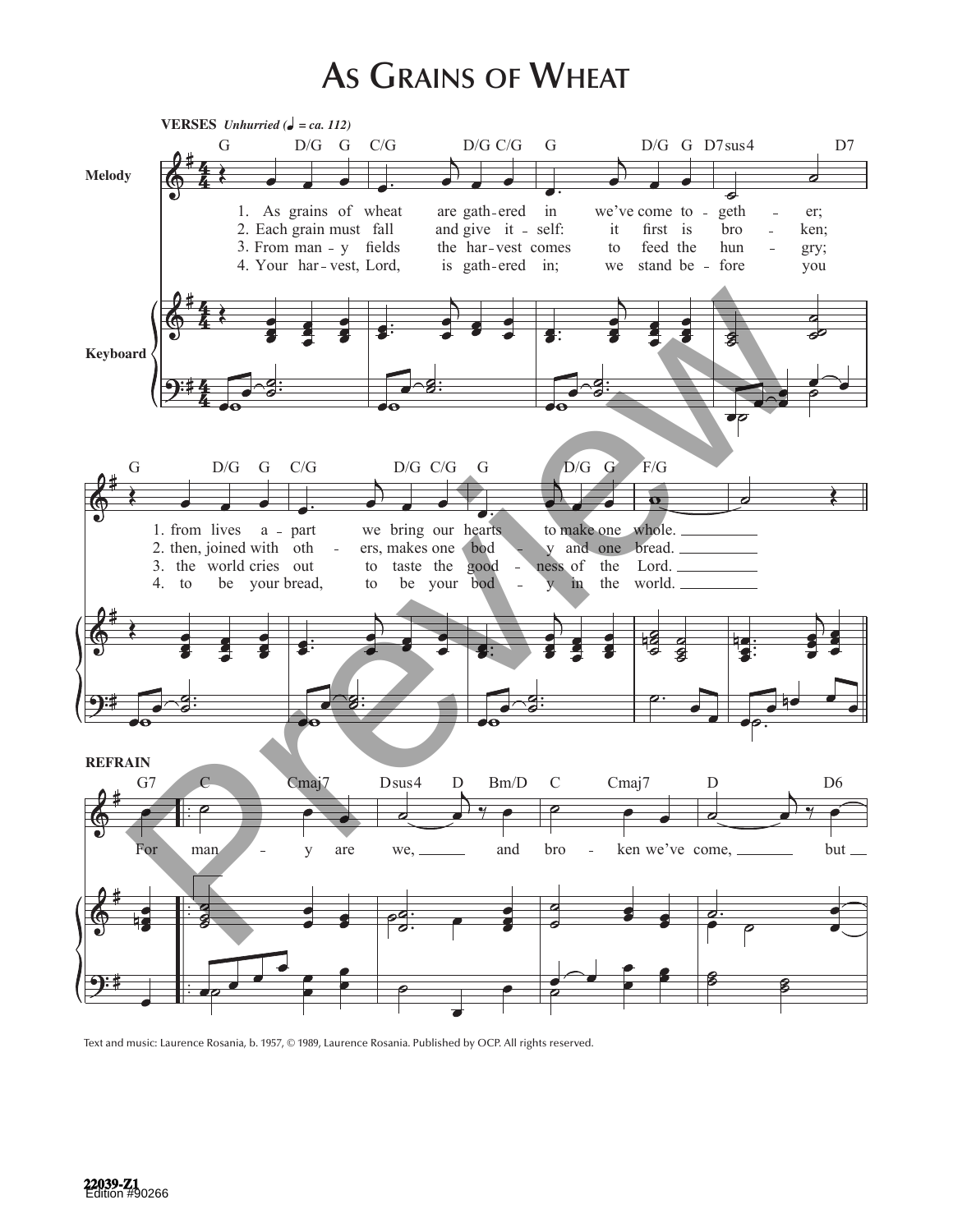## **As Grains of Wheat**



Text and music: Laurence Rosania, b. 1957, © 1989, Laurence Rosania. Published by OCP. All rights reserved.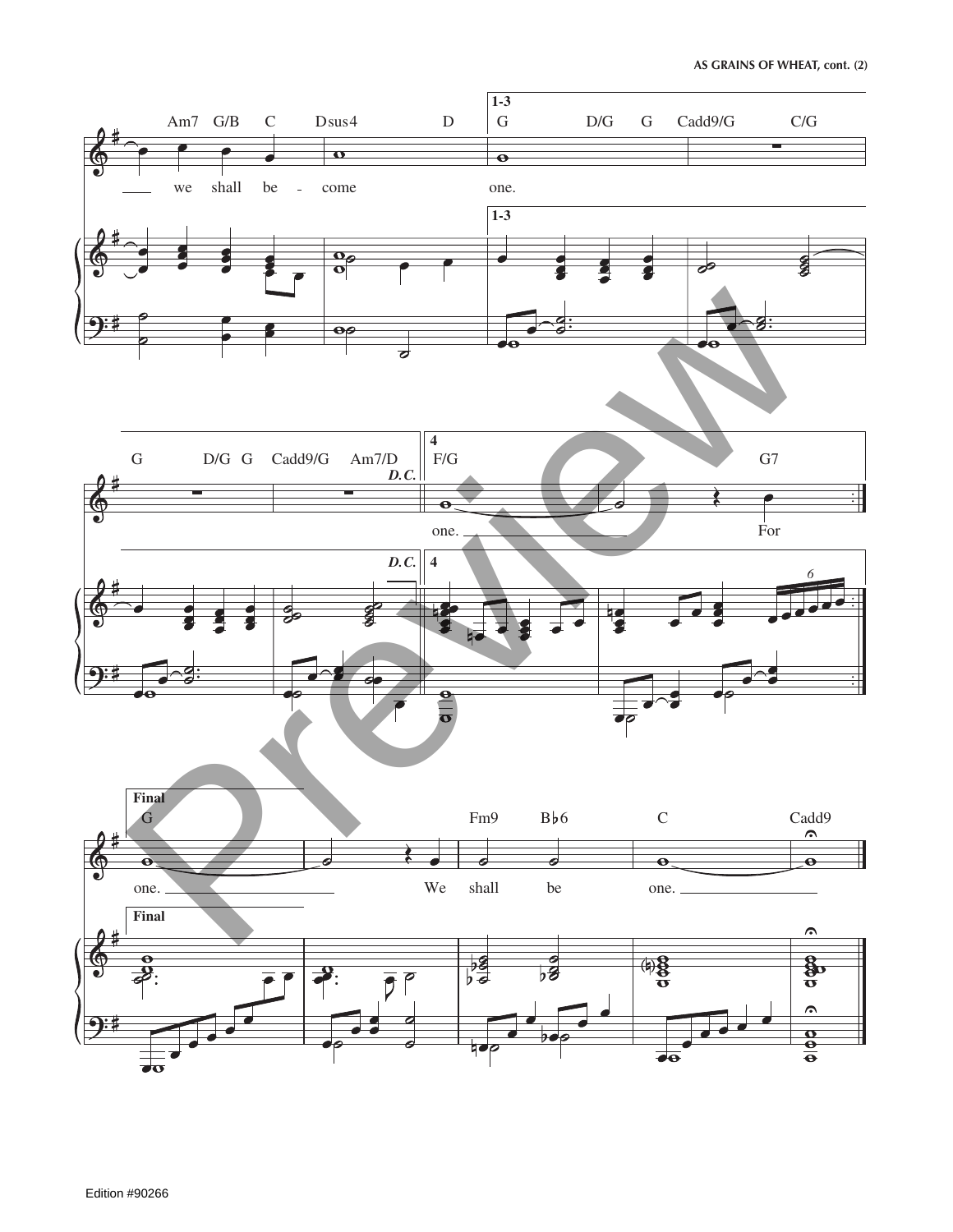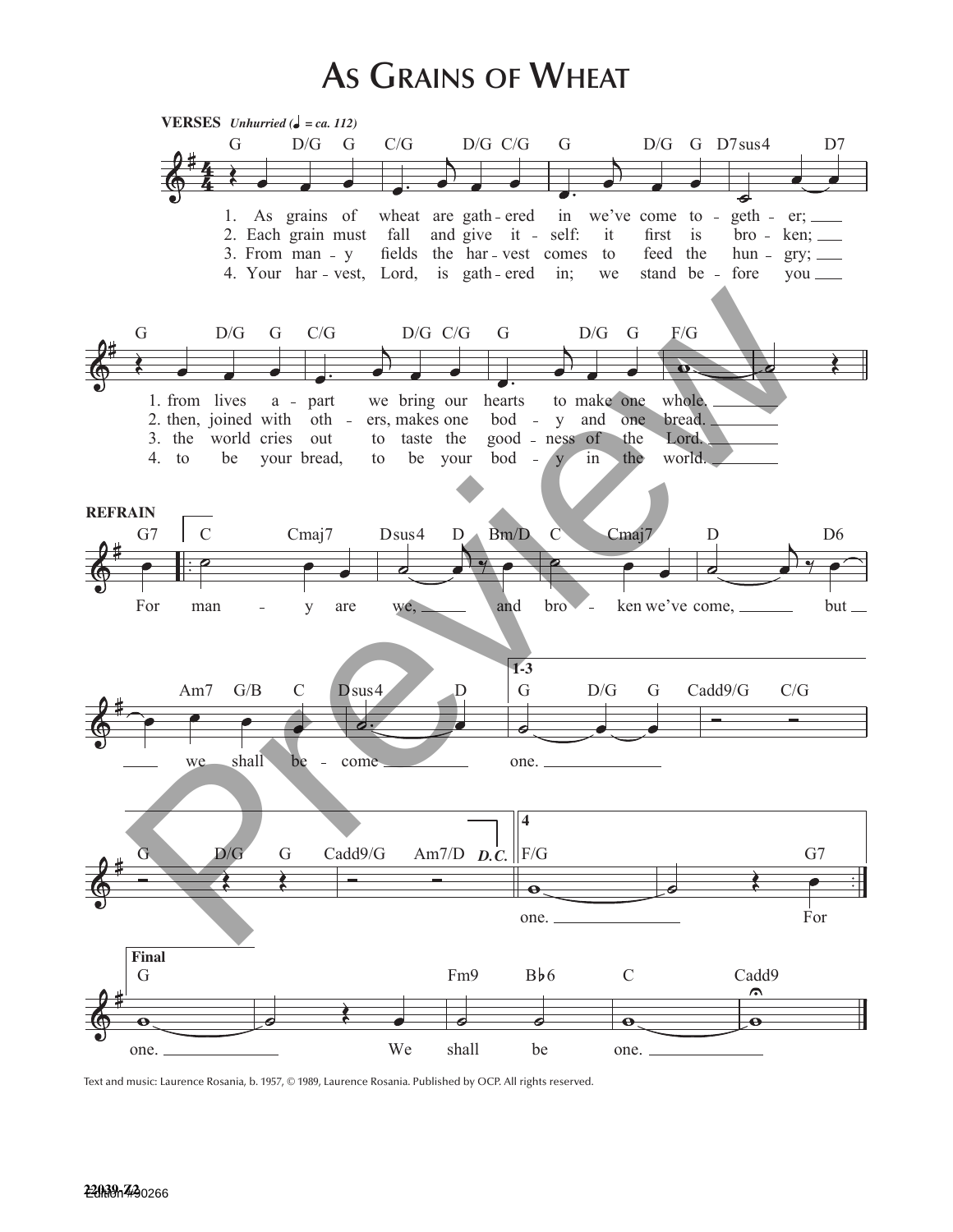## **As Grains of Wheat**



Text and music: Laurence Rosania, b. 1957, © 1989, Laurence Rosania. Published by OCP. All rights reserved.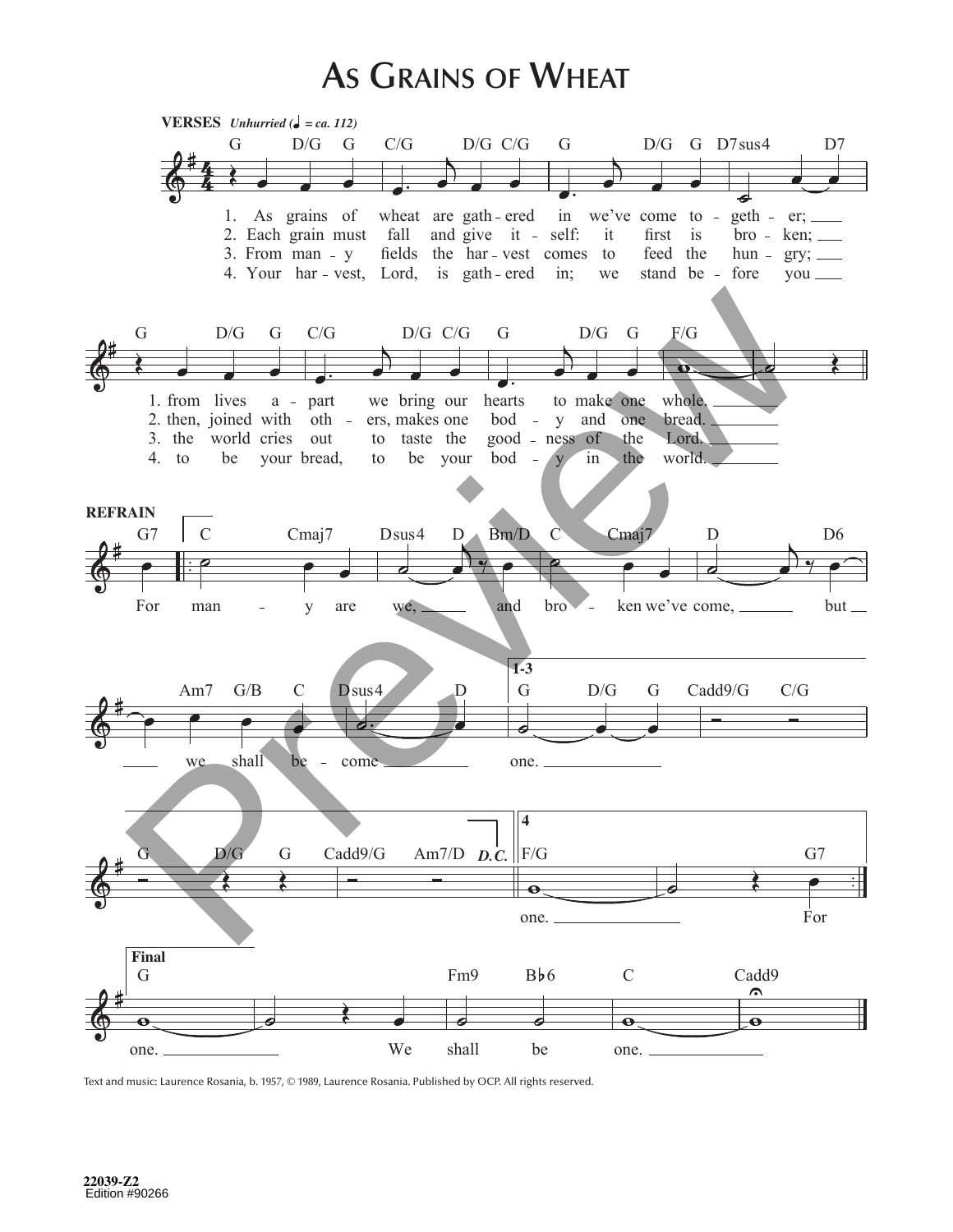## **As Grains of Wheat**



Text and music: Laurence Rosania, b. 1957, © 1989, Laurence Rosania. Published by OCP. All rights reserved.